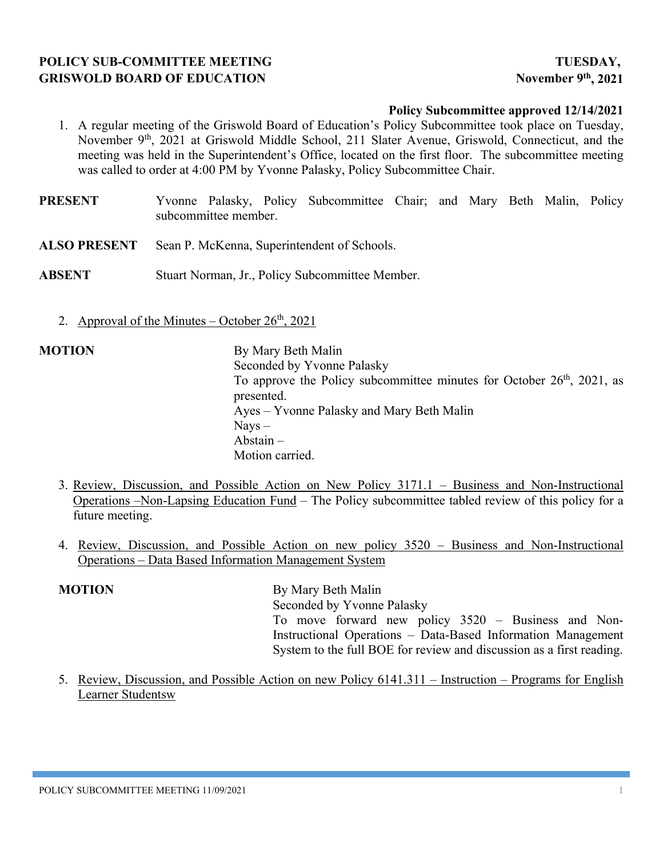# **POLICY SUB-COMMITTEE MEETING TUESDAY,** GRISWOLD BOARD OF EDUCATION November 9<sup>th</sup>, 2021

### **Policy Subcommittee approved 12/14/2021**

- 1. A regular meeting of the Griswold Board of Education's Policy Subcommittee took place on Tuesday, November 9<sup>th</sup>, 2021 at Griswold Middle School, 211 Slater Avenue, Griswold, Connecticut, and the meeting was held in the Superintendent's Office, located on the first floor. The subcommittee meeting was called to order at 4:00 PM by Yvonne Palasky, Policy Subcommittee Chair.
- **PRESENT** Yvonne Palasky, Policy Subcommittee Chair; and Mary Beth Malin, Policy subcommittee member.
- **ALSO PRESENT** Sean P. McKenna, Superintendent of Schools.
- **ABSENT** Stuart Norman, Jr., Policy Subcommittee Member.
	- 2. Approval of the Minutes October  $26<sup>th</sup>$ , 2021

- **MOTION** By Mary Beth Malin Seconded by Yvonne Palasky To approve the Policy subcommittee minutes for October  $26<sup>th</sup>$ , 2021, as presented. Ayes – Yvonne Palasky and Mary Beth Malin  $N$ avs  $-$ Abstain – Motion carried.
	- 3. Review, Discussion, and Possible Action on New Policy 3171.1 Business and Non-Instructional Operations –Non-Lapsing Education Fund – The Policy subcommittee tabled review of this policy for a future meeting.
	- 4. Review, Discussion, and Possible Action on new policy 3520 Business and Non-Instructional Operations – Data Based Information Management System

## **MOTION** By Mary Beth Malin Seconded by Yvonne Palasky To move forward new policy 3520 – Business and Non-Instructional Operations – Data-Based Information Management System to the full BOE for review and discussion as a first reading.

5. Review, Discussion, and Possible Action on new Policy 6141.311 – Instruction – Programs for English Learner Studentsw